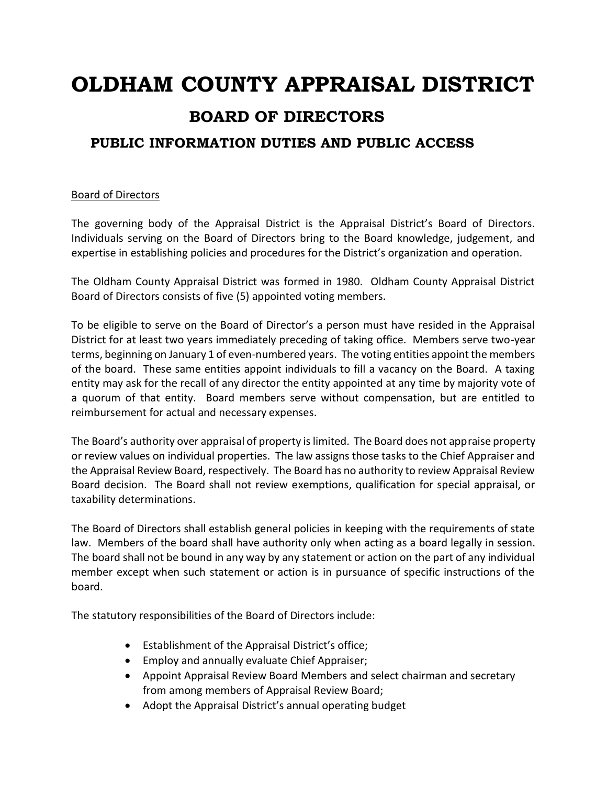# **OLDHAM COUNTY APPRAISAL DISTRICT BOARD OF DIRECTORS PUBLIC INFORMATION DUTIES AND PUBLIC ACCESS**

## Board of Directors

The governing body of the Appraisal District is the Appraisal District's Board of Directors. Individuals serving on the Board of Directors bring to the Board knowledge, judgement, and expertise in establishing policies and procedures for the District's organization and operation.

The Oldham County Appraisal District was formed in 1980. Oldham County Appraisal District Board of Directors consists of five (5) appointed voting members.

To be eligible to serve on the Board of Director's a person must have resided in the Appraisal District for at least two years immediately preceding of taking office. Members serve two-year terms, beginning on January 1 of even-numbered years. The voting entities appoint the members of the board. These same entities appoint individuals to fill a vacancy on the Board. A taxing entity may ask for the recall of any director the entity appointed at any time by majority vote of a quorum of that entity. Board members serve without compensation, but are entitled to reimbursement for actual and necessary expenses.

The Board's authority over appraisal of property is limited. The Board does not appraise property or review values on individual properties. The law assigns those tasks to the Chief Appraiser and the Appraisal Review Board, respectively. The Board has no authority to review Appraisal Review Board decision. The Board shall not review exemptions, qualification for special appraisal, or taxability determinations.

The Board of Directors shall establish general policies in keeping with the requirements of state law. Members of the board shall have authority only when acting as a board legally in session. The board shall not be bound in any way by any statement or action on the part of any individual member except when such statement or action is in pursuance of specific instructions of the board.

The statutory responsibilities of the Board of Directors include:

- Establishment of the Appraisal District's office;
- Employ and annually evaluate Chief Appraiser;
- Appoint Appraisal Review Board Members and select chairman and secretary from among members of Appraisal Review Board;
- Adopt the Appraisal District's annual operating budget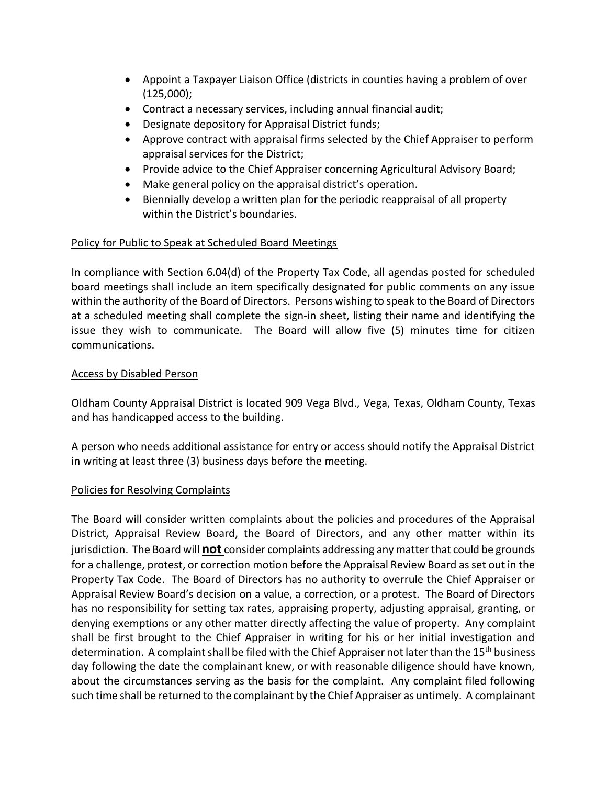- Appoint a Taxpayer Liaison Office (districts in counties having a problem of over (125,000);
- Contract a necessary services, including annual financial audit;
- Designate depository for Appraisal District funds;
- Approve contract with appraisal firms selected by the Chief Appraiser to perform appraisal services for the District;
- Provide advice to the Chief Appraiser concerning Agricultural Advisory Board;
- Make general policy on the appraisal district's operation.
- Biennially develop a written plan for the periodic reappraisal of all property within the District's boundaries.

## Policy for Public to Speak at Scheduled Board Meetings

In compliance with Section 6.04(d) of the Property Tax Code, all agendas posted for scheduled board meetings shall include an item specifically designated for public comments on any issue within the authority of the Board of Directors. Persons wishing to speak to the Board of Directors at a scheduled meeting shall complete the sign-in sheet, listing their name and identifying the issue they wish to communicate. The Board will allow five (5) minutes time for citizen communications.

### Access by Disabled Person

Oldham County Appraisal District is located 909 Vega Blvd., Vega, Texas, Oldham County, Texas and has handicapped access to the building.

A person who needs additional assistance for entry or access should notify the Appraisal District in writing at least three (3) business days before the meeting.

### Policies for Resolving Complaints

The Board will consider written complaints about the policies and procedures of the Appraisal District, Appraisal Review Board, the Board of Directors, and any other matter within its jurisdiction. The Board will **not** consider complaints addressing any matter that could be grounds for a challenge, protest, or correction motion before the Appraisal Review Board as set out in the Property Tax Code. The Board of Directors has no authority to overrule the Chief Appraiser or Appraisal Review Board's decision on a value, a correction, or a protest. The Board of Directors has no responsibility for setting tax rates, appraising property, adjusting appraisal, granting, or denying exemptions or any other matter directly affecting the value of property. Any complaint shall be first brought to the Chief Appraiser in writing for his or her initial investigation and determination. A complaint shall be filed with the Chief Appraiser not later than the 15<sup>th</sup> business day following the date the complainant knew, or with reasonable diligence should have known, about the circumstances serving as the basis for the complaint. Any complaint filed following such time shall be returned to the complainant by the Chief Appraiser as untimely. A complainant